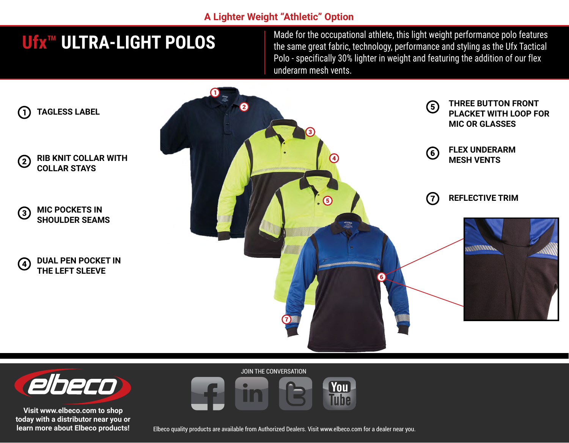### **A Lighter Weight "Athletic" Option**

# **Ufx™ ULTRA-LIGHT POLOS**

Made for the occupational athlete, this light weight performance polo features the same great fabric, technology, performance and styling as the Ufx Tactical Polo - specifically 30% lighter in weight and featuring the addition of our flex underarm mesh vents.





**Visit www.elbeco.com to shop today with a distributor near you or learn more about Elbeco products!** JOIN THE CONVERSATION



Elbeco quality products are available from Authorized Dealers. Visit www.elbeco.com for a dealer near you.